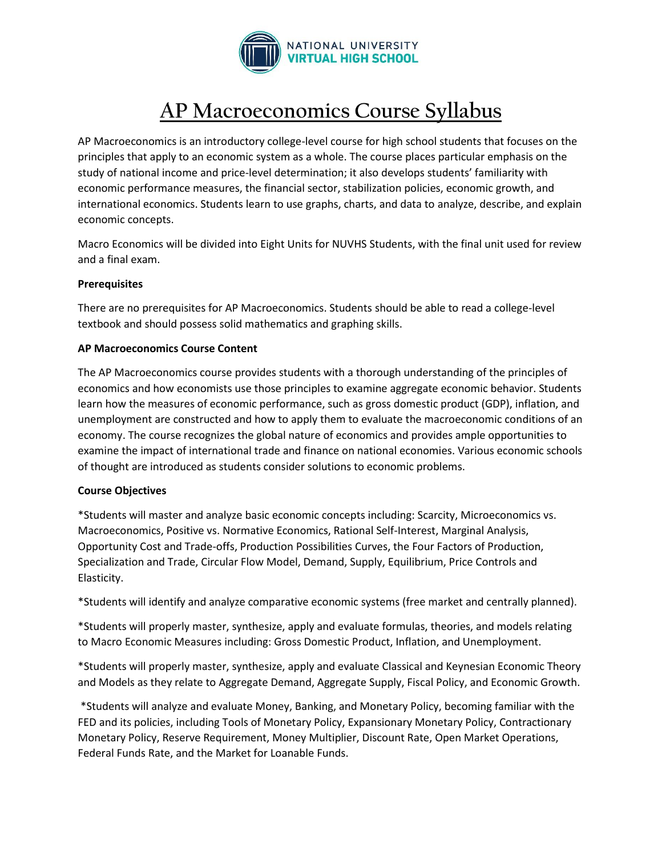

# **AP Macroeconomics Course Syllabus**

AP Macroeconomics is an introductory college-level course for high school students that focuses on the principles that apply to an economic system as a whole. The course places particular emphasis on the study of national income and price-level determination; it also develops students' familiarity with economic performance measures, the financial sector, stabilization policies, economic growth, and international economics. Students learn to use graphs, charts, and data to analyze, describe, and explain economic concepts.

Macro Economics will be divided into Eight Units for NUVHS Students, with the final unit used for review and a final exam.

## **Prerequisites**

There are no prerequisites for AP Macroeconomics. Students should be able to read a college-level textbook and should possess solid mathematics and graphing skills.

# **AP Macroeconomics Course Content**

The AP Macroeconomics course provides students with a thorough understanding of the principles of economics and how economists use those principles to examine aggregate economic behavior. Students learn how the measures of economic performance, such as gross domestic product (GDP), inflation, and unemployment are constructed and how to apply them to evaluate the macroeconomic conditions of an economy. The course recognizes the global nature of economics and provides ample opportunities to examine the impact of international trade and finance on national economies. Various economic schools of thought are introduced as students consider solutions to economic problems.

## **Course Objectives**

\*Students will master and analyze basic economic concepts including: Scarcity, Microeconomics vs. Macroeconomics, Positive vs. Normative Economics, Rational Self-Interest, Marginal Analysis, Opportunity Cost and Trade-offs, Production Possibilities Curves, the Four Factors of Production, Specialization and Trade, Circular Flow Model, Demand, Supply, Equilibrium, Price Controls and Elasticity.

\*Students will identify and analyze comparative economic systems (free market and centrally planned).

\*Students will properly master, synthesize, apply and evaluate formulas, theories, and models relating to Macro Economic Measures including: Gross Domestic Product, Inflation, and Unemployment.

\*Students will properly master, synthesize, apply and evaluate Classical and Keynesian Economic Theory and Models as they relate to Aggregate Demand, Aggregate Supply, Fiscal Policy, and Economic Growth.

\*Students will analyze and evaluate Money, Banking, and Monetary Policy, becoming familiar with the FED and its policies, including Tools of Monetary Policy, Expansionary Monetary Policy, Contractionary Monetary Policy, Reserve Requirement, Money Multiplier, Discount Rate, Open Market Operations, Federal Funds Rate, and the Market for Loanable Funds.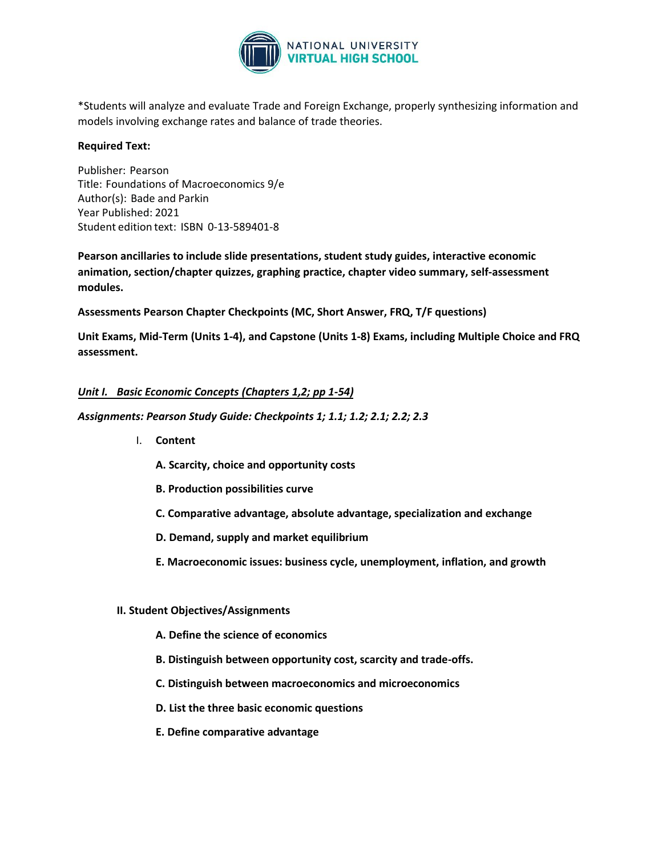

\*Students will analyze and evaluate Trade and Foreign Exchange, properly synthesizing information and models involving exchange rates and balance of trade theories.

## **Required Text:**

Publisher: Pearson Title: Foundations of Macroeconomics 9/e Author(s): Bade and Parkin Year Published: 2021 Student edition text: ISBN  0-13-589401-8

**Pearson ancillaries to include slide presentations, student study guides, interactive economic animation, section/chapter quizzes, graphing practice, chapter video summary, self-assessment modules.** 

**Assessments Pearson Chapter Checkpoints (MC, Short Answer, FRQ, T/F questions)** 

**Unit Exams, Mid-Term (Units 1-4), and Capstone (Units 1-8) Exams, including Multiple Choice and FRQ assessment.** 

## *Unit I. Basic Economic Concepts (Chapters 1,2; pp 1-54)*

*Assignments: Pearson Study Guide: Checkpoints 1; 1.1; 1.2; 2.1; 2.2; 2.3* 

- I. **Content**
	- **A. Scarcity, choice and opportunity costs**
	- **B. Production possibilities curve**
	- **C. Comparative advantage, absolute advantage, specialization and exchange**
	- **D. Demand, supply and market equilibrium**
	- **E. Macroeconomic issues: business cycle, unemployment, inflation, and growth**

#### **II. Student Objectives/Assignments**

- **A. Define the science of economics**
- **B. Distinguish between opportunity cost, scarcity and trade-offs.**
- **C. Distinguish between macroeconomics and microeconomics**
- **D. List the three basic economic questions**
- **E. Define comparative advantage**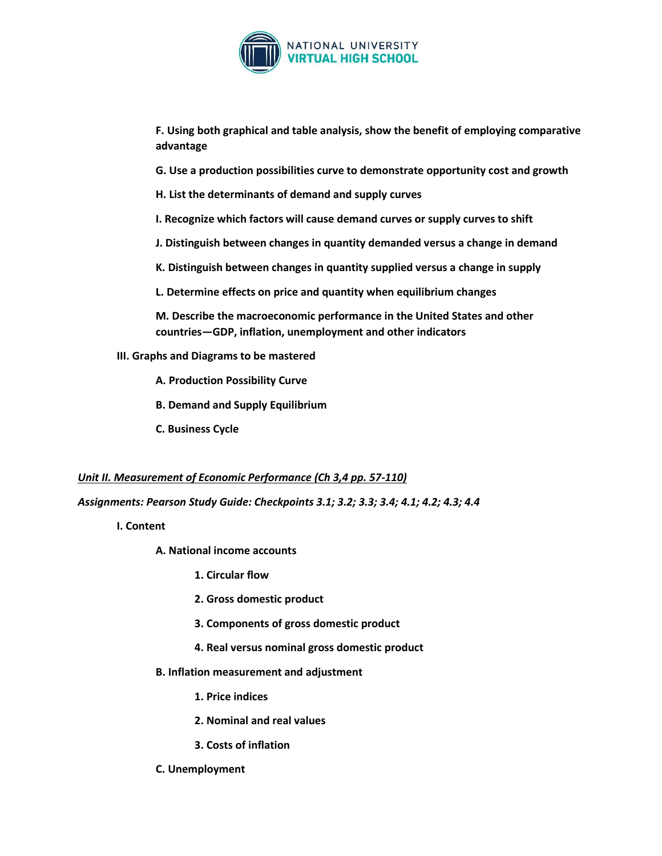

**F. Using both graphical and table analysis, show the benefit of employing comparative advantage**

- **G. Use a production possibilities curve to demonstrate opportunity cost and growth**
- **H. List the determinants of demand and supply curves**
- **I. Recognize which factors will cause demand curves or supply curves to shift**
- **J. Distinguish between changes in quantity demanded versus a change in demand**
- **K. Distinguish between changes in quantity supplied versus a change in supply**
- **L. Determine effects on price and quantity when equilibrium changes**

**M. Describe the macroeconomic performance in the United States and other countries—GDP, inflation, unemployment and other indicators**

- **III. Graphs and Diagrams to be mastered**
	- **A. Production Possibility Curve**
	- **B. Demand and Supply Equilibrium**
	- **C. Business Cycle**

#### *Unit II. Measurement of Economic Performance (Ch 3,4 pp. 57-110)*

*Assignments: Pearson Study Guide: Checkpoints 3.1; 3.2; 3.3; 3.4; 4.1; 4.2; 4.3; 4.4*

- **I. Content**
	- **A. National income accounts**
		- **1. Circular flow**
		- **2. Gross domestic product**
		- **3. Components of gross domestic product**
		- **4. Real versus nominal gross domestic product**
	- **B. Inflation measurement and adjustment**
		- **1. Price indices**
		- **2. Nominal and real values**
		- **3. Costs of inflation**
	- **C. Unemployment**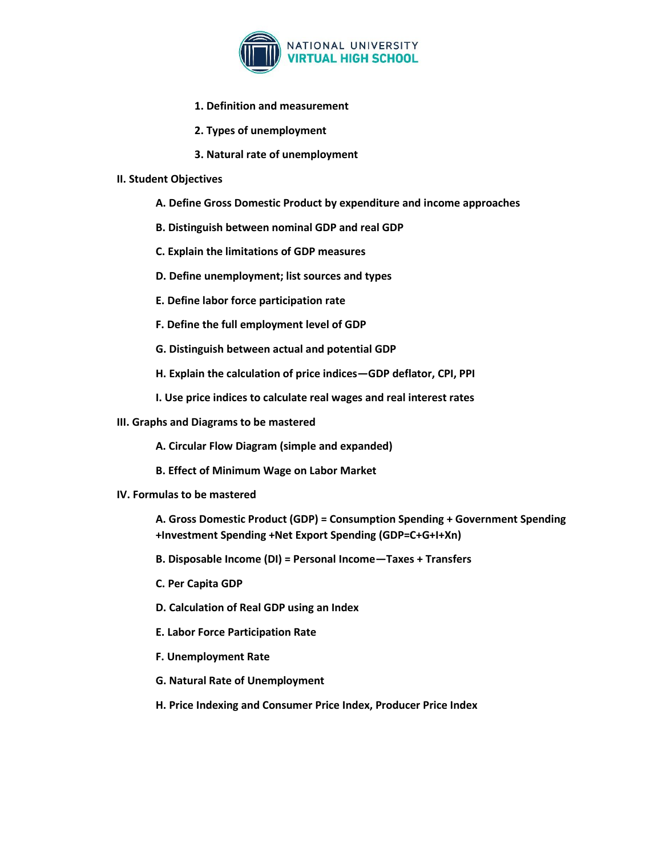

- **1. Definition and measurement**
- **2. Types of unemployment**
- **3. Natural rate of unemployment**

#### **II. Student Objectives**

- **A. Define Gross Domestic Product by expenditure and income approaches**
- **B. Distinguish between nominal GDP and real GDP**
- **C. Explain the limitations of GDP measures**
- **D. Define unemployment; list sources and types**
- **E. Define labor force participation rate**
- **F. Define the full employment level of GDP**
- **G. Distinguish between actual and potential GDP**
- **H. Explain the calculation of price indices—GDP deflator, CPI, PPI**
- **I. Use price indices to calculate real wages and real interest rates**
- **III. Graphs and Diagrams to be mastered**
	- **A. Circular Flow Diagram (simple and expanded)**
	- **B. Effect of Minimum Wage on Labor Market**
- **IV. Formulas to be mastered**
	- **A. Gross Domestic Product (GDP) = Consumption Spending + Government Spending +Investment Spending +Net Export Spending (GDP=C+G+I+Xn)**
	- **B. Disposable Income (DI) = Personal Income—Taxes + Transfers**
	- **C. Per Capita GDP**
	- **D. Calculation of Real GDP using an Index**
	- **E. Labor Force Participation Rate**
	- **F. Unemployment Rate**
	- **G. Natural Rate of Unemployment**
	- **H. Price Indexing and Consumer Price Index, Producer Price Index**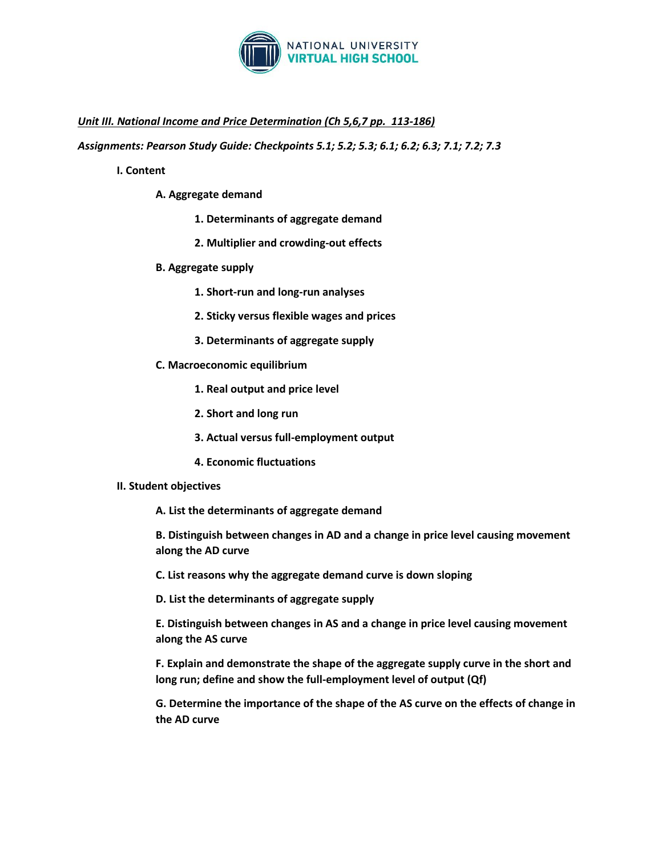

# *Unit III. National Income and Price Determination (Ch 5,6,7 pp. 113-186)*

*Assignments: Pearson Study Guide: Checkpoints 5.1; 5.2; 5.3; 6.1; 6.2; 6.3; 7.1; 7.2; 7.3*

#### **I. Content**

- **A. Aggregate demand**
	- **1. Determinants of aggregate demand**
	- **2. Multiplier and crowding-out effects**
- **B. Aggregate supply**
	- **1. Short-run and long-run analyses**
	- **2. Sticky versus flexible wages and prices**
	- **3. Determinants of aggregate supply**
- **C. Macroeconomic equilibrium**
	- **1. Real output and price level**
	- **2. Short and long run**
	- **3. Actual versus full-employment output**
	- **4. Economic fluctuations**

#### **II. Student objectives**

**A. List the determinants of aggregate demand**

**B. Distinguish between changes in AD and a change in price level causing movement along the AD curve**

- **C. List reasons why the aggregate demand curve is down sloping**
- **D. List the determinants of aggregate supply**

**E. Distinguish between changes in AS and a change in price level causing movement along the AS curve**

**F. Explain and demonstrate the shape of the aggregate supply curve in the short and long run; define and show the full-employment level of output (Qf)**

**G. Determine the importance of the shape of the AS curve on the effects of change in the AD curve**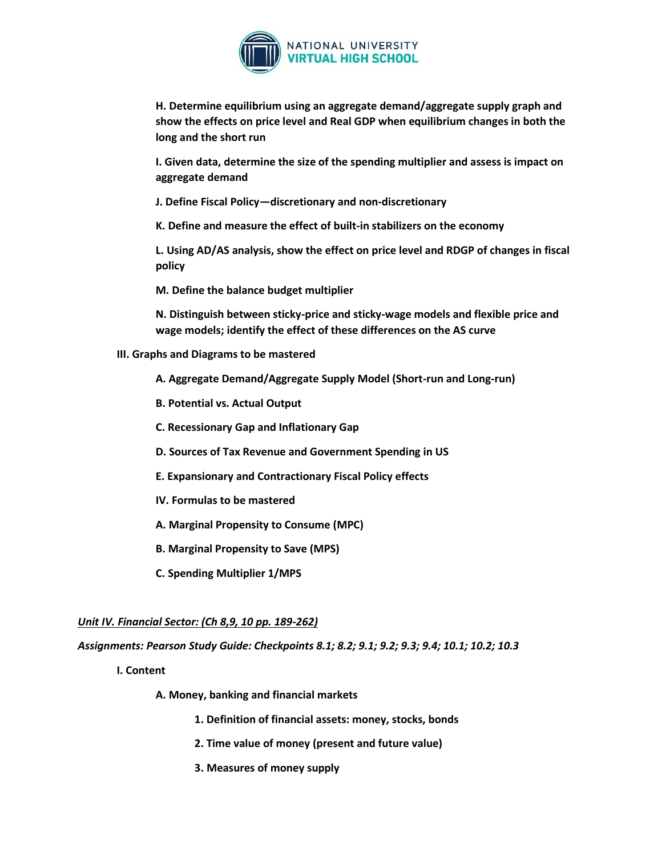

**H. Determine equilibrium using an aggregate demand/aggregate supply graph and show the effects on price level and Real GDP when equilibrium changes in both the long and the short run**

**I. Given data, determine the size of the spending multiplier and assess is impact on aggregate demand**

**J. Define Fiscal Policy—discretionary and non-discretionary**

**K. Define and measure the effect of built-in stabilizers on the economy**

**L. Using AD/AS analysis, show the effect on price level and RDGP of changes in fiscal policy**

**M. Define the balance budget multiplier**

**N. Distinguish between sticky-price and sticky-wage models and flexible price and wage models; identify the effect of these differences on the AS curve**

**III. Graphs and Diagrams to be mastered**

**A. Aggregate Demand/Aggregate Supply Model (Short-run and Long-run)**

- **B. Potential vs. Actual Output**
- **C. Recessionary Gap and Inflationary Gap**
- **D. Sources of Tax Revenue and Government Spending in US**
- **E. Expansionary and Contractionary Fiscal Policy effects**
- **IV. Formulas to be mastered**
- **A. Marginal Propensity to Consume (MPC)**
- **B. Marginal Propensity to Save (MPS)**
- **C. Spending Multiplier 1/MPS**

## *Unit IV. Financial Sector: (Ch 8,9, 10 pp. 189-262)*

*Assignments: Pearson Study Guide: Checkpoints 8.1; 8.2; 9.1; 9.2; 9.3; 9.4; 10.1; 10.2; 10.3*

**I. Content** 

**A. Money, banking and financial markets**

- **1. Definition of financial assets: money, stocks, bonds**
- **2. Time value of money (present and future value)**
- **3. Measures of money supply**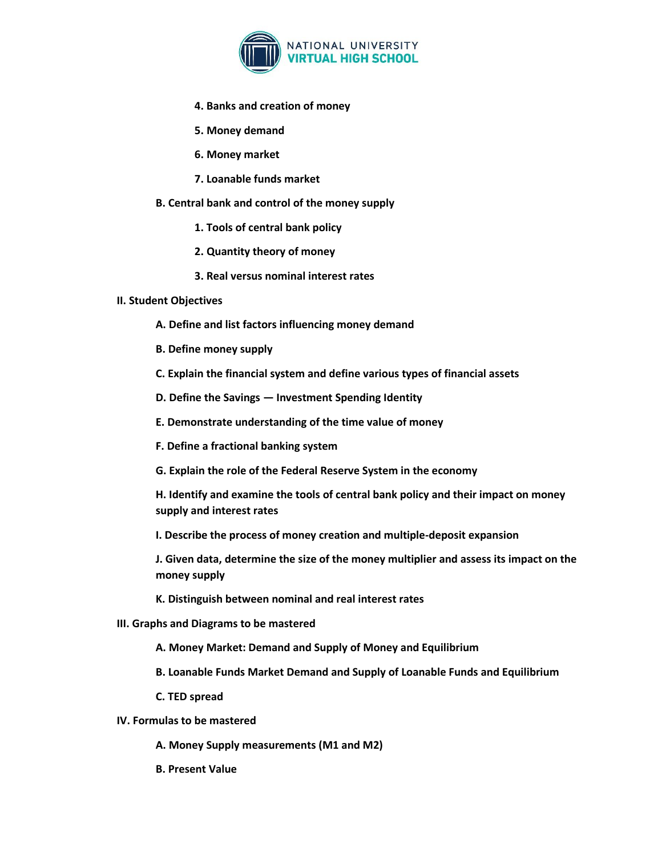

- **4. Banks and creation of money**
- **5. Money demand**
- **6. Money market**
- **7. Loanable funds market**
- **B. Central bank and control of the money supply**
	- **1. Tools of central bank policy**
	- **2. Quantity theory of money**
	- **3. Real versus nominal interest rates**

#### **II. Student Objectives**

- **A. Define and list factors influencing money demand**
- **B. Define money supply**
- **C. Explain the financial system and define various types of financial assets**
- **D. Define the Savings — Investment Spending Identity**
- **E. Demonstrate understanding of the time value of money**
- **F. Define a fractional banking system**
- **G. Explain the role of the Federal Reserve System in the economy**
- **H. Identify and examine the tools of central bank policy and their impact on money supply and interest rates**
- **I. Describe the process of money creation and multiple-deposit expansion**

**J. Given data, determine the size of the money multiplier and assess its impact on the money supply**

- **K. Distinguish between nominal and real interest rates**
- **III. Graphs and Diagrams to be mastered**
	- **A. Money Market: Demand and Supply of Money and Equilibrium**
	- **B. Loanable Funds Market Demand and Supply of Loanable Funds and Equilibrium**
	- **C. TED spread**
- **IV. Formulas to be mastered**
	- **A. Money Supply measurements (M1 and M2)**
	- **B. Present Value**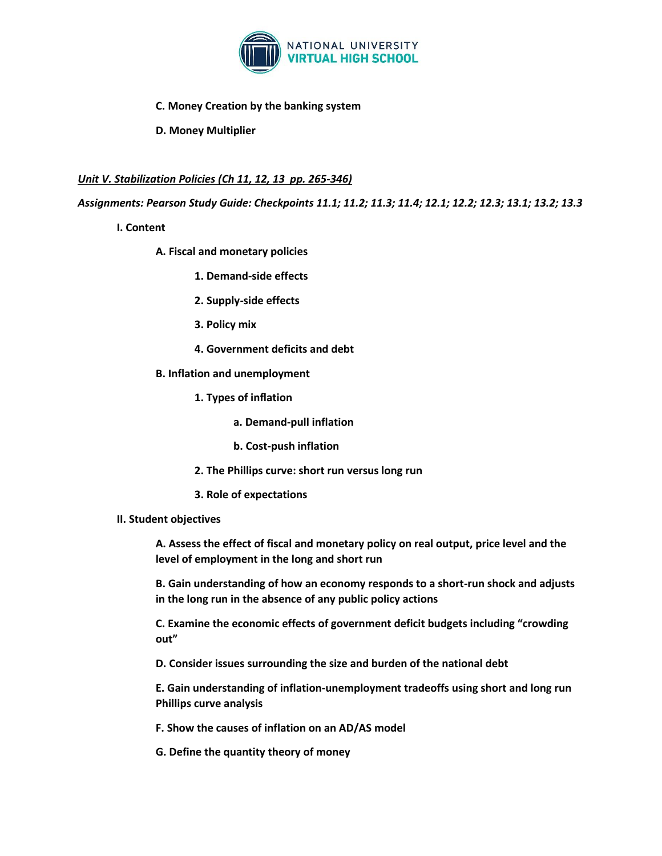

## **C. Money Creation by the banking system**

**D. Money Multiplier**

# *Unit V. Stabilization Policies (Ch 11, 12, 13 pp. 265-346)*

*Assignments: Pearson Study Guide: Checkpoints 11.1; 11.2; 11.3; 11.4; 12.1; 12.2; 12.3; 13.1; 13.2; 13.3*

- **I. Content** 
	- **A. Fiscal and monetary policies**
		- **1. Demand-side effects**
		- **2. Supply-side effects**
		- **3. Policy mix**
		- **4. Government deficits and debt**
	- **B. Inflation and unemployment**
		- **1. Types of inflation**
			- **a. Demand-pull inflation**
			- **b. Cost-push inflation**
		- **2. The Phillips curve: short run versus long run**
		- **3. Role of expectations**
- **II. Student objectives**

**A. Assess the effect of fiscal and monetary policy on real output, price level and the level of employment in the long and short run**

**B. Gain understanding of how an economy responds to a short-run shock and adjusts in the long run in the absence of any public policy actions**

**C. Examine the economic effects of government deficit budgets including "crowding out"**

**D. Consider issues surrounding the size and burden of the national debt**

**E. Gain understanding of inflation-unemployment tradeoffs using short and long run Phillips curve analysis**

**F. Show the causes of inflation on an AD/AS model**

**G. Define the quantity theory of money**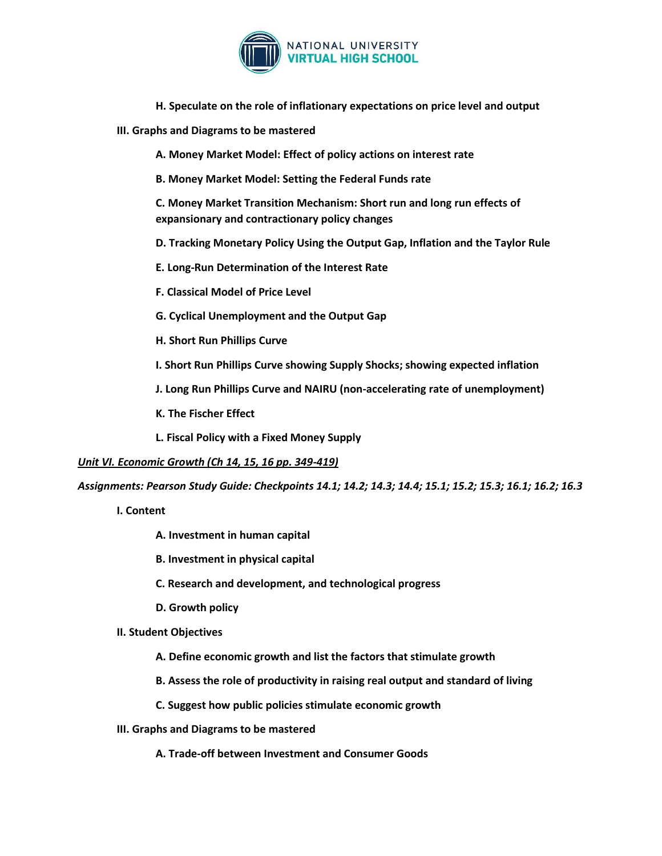

- **H. Speculate on the role of inflationary expectations on price level and output**
- **III. Graphs and Diagrams to be mastered**

**A. Money Market Model: Effect of policy actions on interest rate**

**B. Money Market Model: Setting the Federal Funds rate**

**C. Money Market Transition Mechanism: Short run and long run effects of expansionary and contractionary policy changes**

**D. Tracking Monetary Policy Using the Output Gap, Inflation and the Taylor Rule**

**E. Long-Run Determination of the Interest Rate**

**F. Classical Model of Price Level**

**G. Cyclical Unemployment and the Output Gap**

**H. Short Run Phillips Curve**

**I. Short Run Phillips Curve showing Supply Shocks; showing expected inflation**

**J. Long Run Phillips Curve and NAIRU (non-accelerating rate of unemployment)**

**K. The Fischer Effect**

**L. Fiscal Policy with a Fixed Money Supply**

*Unit VI. Economic Growth (Ch 14, 15, 16 pp. 349-419)*

*Assignments: Pearson Study Guide: Checkpoints 14.1; 14.2; 14.3; 14.4; 15.1; 15.2; 15.3; 16.1; 16.2; 16.3*

- **I. Content**
	- **A. Investment in human capital**
	- **B. Investment in physical capital**
	- **C. Research and development, and technological progress**
	- **D. Growth policy**
- **II. Student Objectives**
	- **A. Define economic growth and list the factors that stimulate growth**
	- **B. Assess the role of productivity in raising real output and standard of living**
	- **C. Suggest how public policies stimulate economic growth**
- **III. Graphs and Diagrams to be mastered**
	- **A. Trade-off between Investment and Consumer Goods**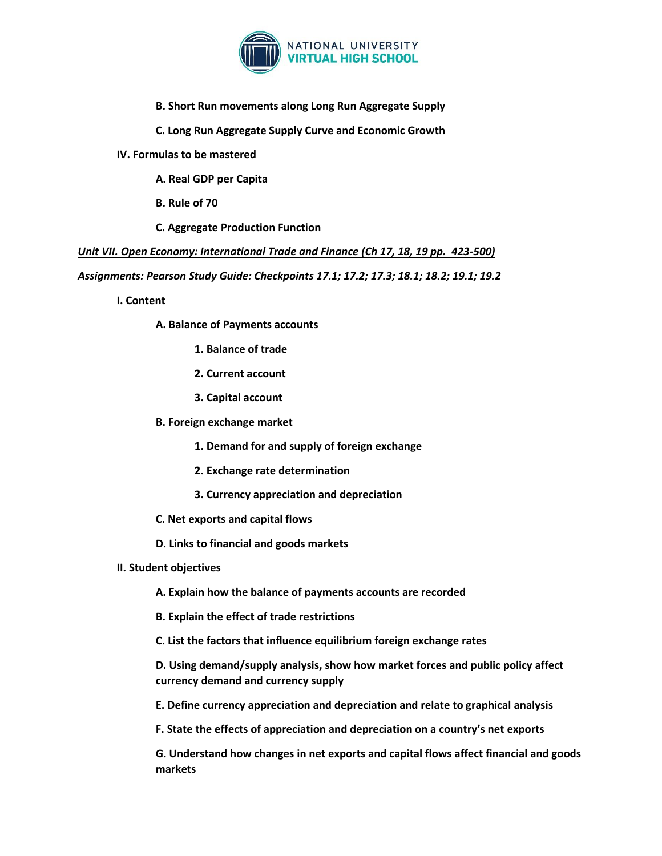

**B. Short Run movements along Long Run Aggregate Supply**

**C. Long Run Aggregate Supply Curve and Economic Growth**

**IV. Formulas to be mastered**

**A. Real GDP per Capita**

**B. Rule of 70**

**C. Aggregate Production Function**

*Unit VII. Open Economy: International Trade and Finance (Ch 17, 18, 19 pp. 423-500)*

*Assignments: Pearson Study Guide: Checkpoints 17.1; 17.2; 17.3; 18.1; 18.2; 19.1; 19.2*

**I. Content**

**A. Balance of Payments accounts**

- **1. Balance of trade**
- **2. Current account**
- **3. Capital account**
- **B. Foreign exchange market**

**1. Demand for and supply of foreign exchange**

- **2. Exchange rate determination**
- **3. Currency appreciation and depreciation**
- **C. Net exports and capital flows**
- **D. Links to financial and goods markets**
- **II. Student objectives**

**A. Explain how the balance of payments accounts are recorded**

**B. Explain the effect of trade restrictions**

**C. List the factors that influence equilibrium foreign exchange rates**

**D. Using demand/supply analysis, show how market forces and public policy affect currency demand and currency supply**

**E. Define currency appreciation and depreciation and relate to graphical analysis**

**F. State the effects of appreciation and depreciation on a country's net exports**

**G. Understand how changes in net exports and capital flows affect financial and goods markets**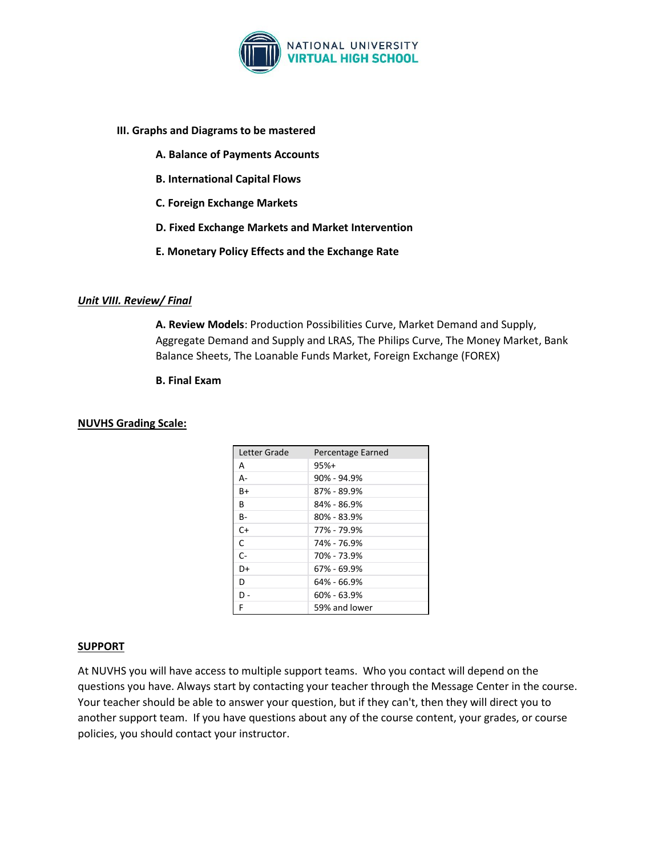

## **III. Graphs and Diagrams to be mastered**

- **A. Balance of Payments Accounts**
- **B. International Capital Flows**
- **C. Foreign Exchange Markets**
- **D. Fixed Exchange Markets and Market Intervention**
- **E. Monetary Policy Effects and the Exchange Rate**

## *Unit VIII. Review/ Final*

**A. Review Models**: Production Possibilities Curve, Market Demand and Supply, Aggregate Demand and Supply and LRAS, The Philips Curve, The Money Market, Bank Balance Sheets, The Loanable Funds Market, Foreign Exchange (FOREX)

#### **B. Final Exam**

#### **NUVHS Grading Scale:**

| Letter Grade | Percentage Earned |
|--------------|-------------------|
| А            | $95%+$            |
| $A -$        | $90\% - 94.9\%$   |
| $B+$         | 87% - 89.9%       |
| B            | 84% - 86.9%       |
| B-           | 80% - 83.9%       |
| $C+$         | 77% - 79.9%       |
| C            | 74% - 76.9%       |
| $C -$        | 70% - 73.9%       |
| D+           | 67% - 69.9%       |
| D            | 64% - 66.9%       |
| D -          | $60\% - 63.9\%$   |
| F            | 59% and lower     |

#### **SUPPORT**

At NUVHS you will have access to multiple support teams. Who you contact will depend on the questions you have. Always start by contacting your teacher through the Message Center in the course. Your teacher should be able to answer your question, but if they can't, then they will direct you to another support team. If you have questions about any of the course content, your grades, or course policies, you should contact your instructor.